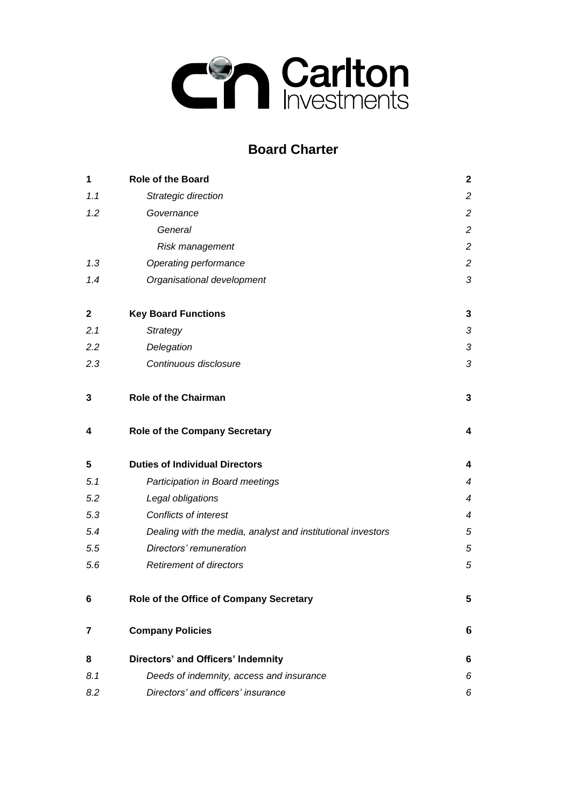

# **Board Charter**

| 1           | <b>Role of the Board</b>                                    | $\mathbf{2}$     |
|-------------|-------------------------------------------------------------|------------------|
| 1.1         | Strategic direction                                         | $\overline{c}$   |
| 1.2         | Governance                                                  | $\boldsymbol{2}$ |
|             | General                                                     | $\overline{c}$   |
|             | Risk management                                             | $\overline{c}$   |
| 1.3         | Operating performance                                       | $\overline{c}$   |
| 1.4         | Organisational development                                  | $\sqrt{3}$       |
| $\mathbf 2$ | <b>Key Board Functions</b>                                  | 3                |
| 2.1         | <b>Strategy</b>                                             | 3                |
| 2.2         | Delegation                                                  | $\mathfrak{Z}$   |
| 2.3         | Continuous disclosure                                       | $\sqrt{3}$       |
| 3           | <b>Role of the Chairman</b>                                 | 3                |
| 4           | <b>Role of the Company Secretary</b>                        | 4                |
| 5           | <b>Duties of Individual Directors</b>                       | 4                |
| 5.1         | Participation in Board meetings                             | 4                |
| 5.2         | Legal obligations                                           | $\overline{4}$   |
| 5.3         | Conflicts of interest                                       | 4                |
| 5.4         | Dealing with the media, analyst and institutional investors | $\sqrt{5}$       |
| 5.5         | Directors' remuneration                                     | $\sqrt{5}$       |
| 5.6         | <b>Retirement of directors</b>                              | $\sqrt{5}$       |
| 6           | Role of the Office of Company Secretary                     | 5                |
| 7           | <b>Company Policies</b>                                     | 6                |
| 8           | Directors' and Officers' Indemnity                          | 6                |
| 8.1         | Deeds of indemnity, access and insurance                    | 6                |
| 8.2         | Directors' and officers' insurance                          | 6                |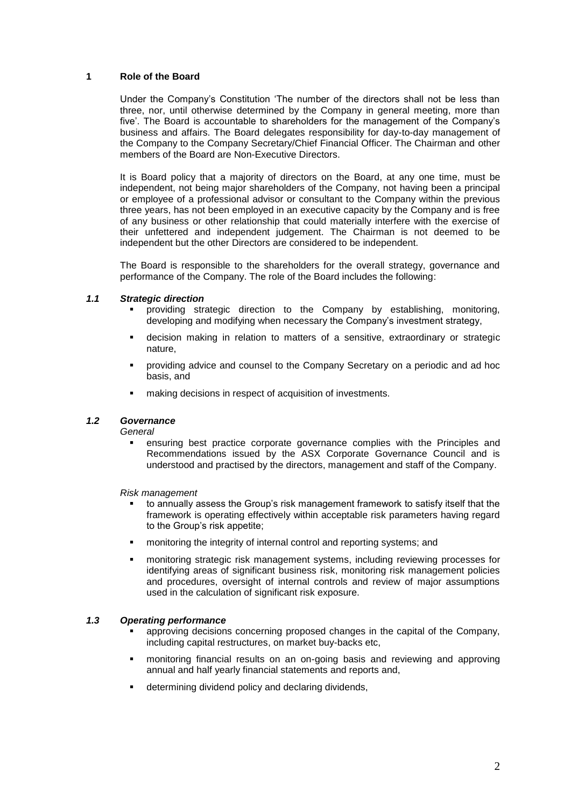## **1 Role of the Board**

Under the Company's Constitution 'The number of the directors shall not be less than three, nor, until otherwise determined by the Company in general meeting, more than five'. The Board is accountable to shareholders for the management of the Company's business and affairs. The Board delegates responsibility for day-to-day management of the Company to the Company Secretary/Chief Financial Officer. The Chairman and other members of the Board are Non-Executive Directors.

It is Board policy that a majority of directors on the Board, at any one time, must be independent, not being major shareholders of the Company, not having been a principal or employee of a professional advisor or consultant to the Company within the previous three years, has not been employed in an executive capacity by the Company and is free of any business or other relationship that could materially interfere with the exercise of their unfettered and independent judgement. The Chairman is not deemed to be independent but the other Directors are considered to be independent.

The Board is responsible to the shareholders for the overall strategy, governance and performance of the Company. The role of the Board includes the following:

#### *1.1 Strategic direction*

- providing strategic direction to the Company by establishing, monitoring, developing and modifying when necessary the Company's investment strategy,
- decision making in relation to matters of a sensitive, extraordinary or strategic nature,
- providing advice and counsel to the Company Secretary on a periodic and ad hoc basis, and
- making decisions in respect of acquisition of investments.

# *1.2 Governance*

*General*

 ensuring best practice corporate governance complies with the Principles and Recommendations issued by the ASX Corporate Governance Council and is understood and practised by the directors, management and staff of the Company.

*Risk management*

- to annually assess the Group's risk management framework to satisfy itself that the framework is operating effectively within acceptable risk parameters having regard to the Group's risk appetite;
- monitoring the integrity of internal control and reporting systems; and
- monitoring strategic risk management systems, including reviewing processes for identifying areas of significant business risk, monitoring risk management policies and procedures, oversight of internal controls and review of major assumptions used in the calculation of significant risk exposure.

#### *1.3 Operating performance*

- approving decisions concerning proposed changes in the capital of the Company, including capital restructures, on market buy-backs etc,
- monitoring financial results on an on-going basis and reviewing and approving annual and half yearly financial statements and reports and,
- determining dividend policy and declaring dividends,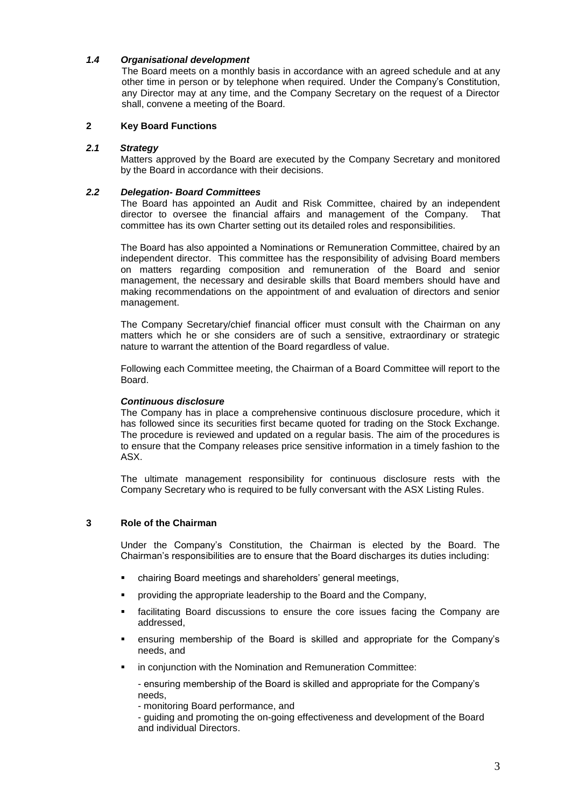# *1.4 Organisational development*

The Board meets on a monthly basis in accordance with an agreed schedule and at any other time in person or by telephone when required. Under the Company's Constitution, any Director may at any time, and the Company Secretary on the request of a Director shall, convene a meeting of the Board.

## **2 Key Board Functions**

#### *2.1 Strategy*

Matters approved by the Board are executed by the Company Secretary and monitored by the Board in accordance with their decisions.

#### *2.2 Delegation- Board Committees*

The Board has appointed an Audit and Risk Committee, chaired by an independent director to oversee the financial affairs and management of the Company. That committee has its own Charter setting out its detailed roles and responsibilities.

The Board has also appointed a Nominations or Remuneration Committee, chaired by an independent director. This committee has the responsibility of advising Board members on matters regarding composition and remuneration of the Board and senior management, the necessary and desirable skills that Board members should have and making recommendations on the appointment of and evaluation of directors and senior management.

The Company Secretary/chief financial officer must consult with the Chairman on any matters which he or she considers are of such a sensitive, extraordinary or strategic nature to warrant the attention of the Board regardless of value.

Following each Committee meeting, the Chairman of a Board Committee will report to the Board.

#### *Continuous disclosure*

The Company has in place a comprehensive continuous disclosure procedure, which it has followed since its securities first became quoted for trading on the Stock Exchange. The procedure is reviewed and updated on a regular basis. The aim of the procedures is to ensure that the Company releases price sensitive information in a timely fashion to the ASX.

The ultimate management responsibility for continuous disclosure rests with the Company Secretary who is required to be fully conversant with the ASX Listing Rules.

# **3 Role of the Chairman**

Under the Company's Constitution, the Chairman is elected by the Board. The Chairman's responsibilities are to ensure that the Board discharges its duties including:

- chairing Board meetings and shareholders' general meetings,
- providing the appropriate leadership to the Board and the Company,
- facilitating Board discussions to ensure the core issues facing the Company are addressed,
- ensuring membership of the Board is skilled and appropriate for the Company's needs, and
- in conjunction with the Nomination and Remuneration Committee:

- ensuring membership of the Board is skilled and appropriate for the Company's needs,

- monitoring Board performance, and

- guiding and promoting the on-going effectiveness and development of the Board and individual Directors.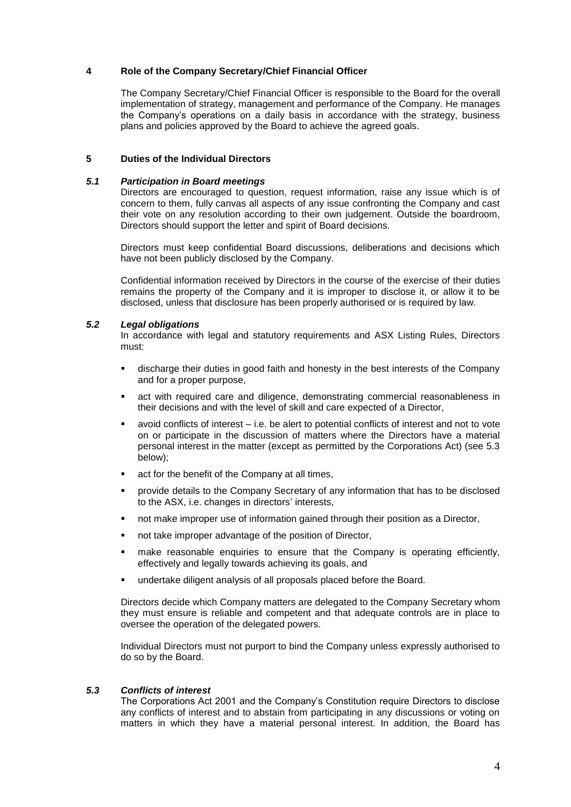## **4 Role of the Company Secretary/Chief Financial Officer**

The Company Secretary/Chief Financial Officer is responsible to the Board for the overall implementation of strategy, management and performance of the Company. He manages the Company's operations on a daily basis in accordance with the strategy, business plans and policies approved by the Board to achieve the agreed goals.

#### **5 Duties of the Individual Directors**

#### *5.1 Participation in Board meetings*

Directors are encouraged to question, request information, raise any issue which is of concern to them, fully canvas all aspects of any issue confronting the Company and cast their vote on any resolution according to their own judgement. Outside the boardroom, Directors should support the letter and spirit of Board decisions.

Directors must keep confidential Board discussions, deliberations and decisions which have not been publicly disclosed by the Company.

Confidential information received by Directors in the course of the exercise of their duties remains the property of the Company and it is improper to disclose it, or allow it to be disclosed, unless that disclosure has been properly authorised or is required by law.

# *5.2 Legal obligations*

In accordance with legal and statutory requirements and ASX Listing Rules, Directors must:

- discharge their duties in good faith and honesty in the best interests of the Company and for a proper purpose,
- act with required care and diligence, demonstrating commercial reasonableness in their decisions and with the level of skill and care expected of a Director,
- avoid conflicts of interest i.e. be alert to potential conflicts of interest and not to vote on or participate in the discussion of matters where the Directors have a material personal interest in the matter (except as permitted by the Corporations Act) (see 5.3 below);
- act for the benefit of the Company at all times,
- provide details to the Company Secretary of any information that has to be disclosed to the ASX, i.e. changes in directors' interests,
- not make improper use of information gained through their position as a Director,
- not take improper advantage of the position of Director,
- make reasonable enquiries to ensure that the Company is operating efficiently, effectively and legally towards achieving its goals, and
- undertake diligent analysis of all proposals placed before the Board.

Directors decide which Company matters are delegated to the Company Secretary whom they must ensure is reliable and competent and that adequate controls are in place to oversee the operation of the delegated powers.

Individual Directors must not purport to bind the Company unless expressly authorised to do so by the Board.

# *5.3 Conflicts of interest*

The Corporations Act 2001 and the Company's Constitution require Directors to disclose any conflicts of interest and to abstain from participating in any discussions or voting on matters in which they have a material personal interest. In addition, the Board has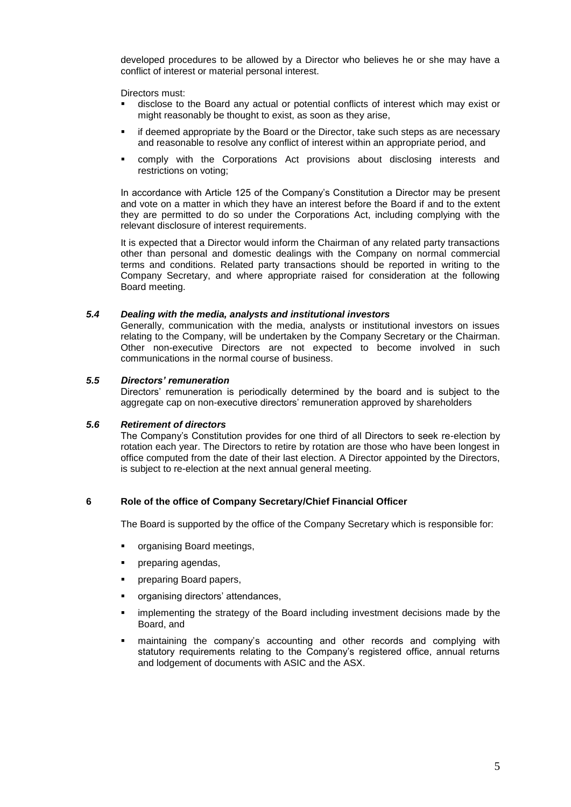developed procedures to be allowed by a Director who believes he or she may have a conflict of interest or material personal interest.

Directors must:

- disclose to the Board any actual or potential conflicts of interest which may exist or might reasonably be thought to exist, as soon as they arise,
- if deemed appropriate by the Board or the Director, take such steps as are necessary and reasonable to resolve any conflict of interest within an appropriate period, and
- comply with the Corporations Act provisions about disclosing interests and restrictions on voting;

In accordance with Article 125 of the Company's Constitution a Director may be present and vote on a matter in which they have an interest before the Board if and to the extent they are permitted to do so under the Corporations Act, including complying with the relevant disclosure of interest requirements.

It is expected that a Director would inform the Chairman of any related party transactions other than personal and domestic dealings with the Company on normal commercial terms and conditions. Related party transactions should be reported in writing to the Company Secretary, and where appropriate raised for consideration at the following Board meeting.

## *5.4 Dealing with the media, analysts and institutional investors*

Generally, communication with the media, analysts or institutional investors on issues relating to the Company, will be undertaken by the Company Secretary or the Chairman. Other non-executive Directors are not expected to become involved in such communications in the normal course of business.

## *5.5 Directors' remuneration*

Directors' remuneration is periodically determined by the board and is subject to the aggregate cap on non-executive directors' remuneration approved by shareholders

#### *5.6 Retirement of directors*

The Company's Constitution provides for one third of all Directors to seek re-election by rotation each year. The Directors to retire by rotation are those who have been longest in office computed from the date of their last election. A Director appointed by the Directors, is subject to re-election at the next annual general meeting.

# **6 Role of the office of Company Secretary/Chief Financial Officer**

The Board is supported by the office of the Company Secretary which is responsible for:

- organising Board meetings,
- preparing agendas,
- **•** preparing Board papers,
- organising directors' attendances,
- implementing the strategy of the Board including investment decisions made by the Board, and
- maintaining the company's accounting and other records and complying with statutory requirements relating to the Company's registered office, annual returns and lodgement of documents with ASIC and the ASX.